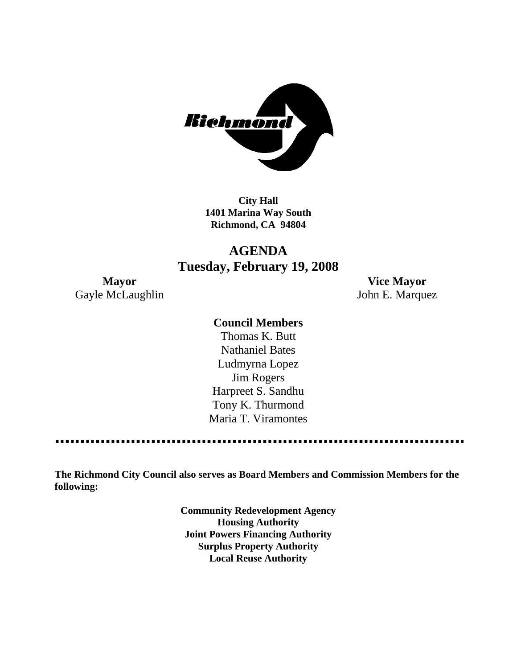

**City Hall 1401 Marina Way South Richmond, CA 94804**

# **AGENDA Tuesday, February 19, 2008**

Gayle McLaughlin John E. Marquez

**Mayor Vice Mayor**

#### **Council Members**

Thomas K. Butt Nathaniel Bates Ludmyrna Lopez Jim Rogers Harpreet S. Sandhu Tony K. Thurmond Maria T. Viramontes

**The Richmond City Council also serves as Board Members and Commission Members for the following:**

> **Community Redevelopment Agency Housing Authority Joint Powers Financing Authority Surplus Property Authority Local Reuse Authority**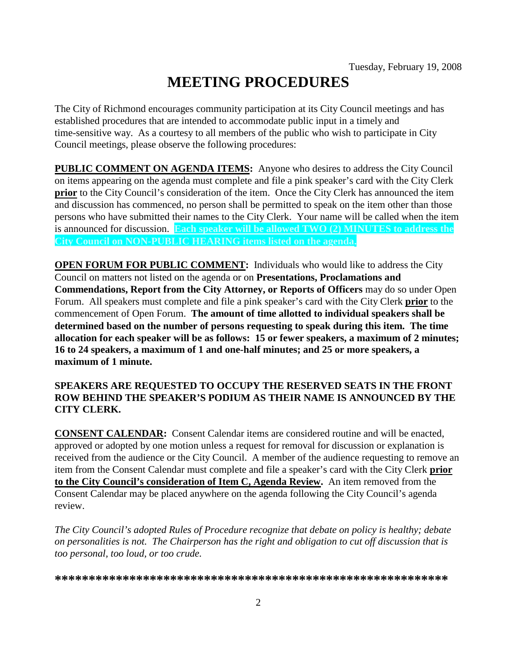# **MEETING PROCEDURES**

The City of Richmond encourages community participation at its City Council meetings and has established procedures that are intended to accommodate public input in a timely and time-sensitive way. As a courtesy to all members of the public who wish to participate in City Council meetings, please observe the following procedures:

**PUBLIC COMMENT ON AGENDA ITEMS:** Anyone who desires to address the City Council on items appearing on the agenda must complete and file a pink speaker's card with the City Clerk **prior** to the City Council's consideration of the item. Once the City Clerk has announced the item and discussion has commenced, no person shall be permitted to speak on the item other than those persons who have submitted their names to the City Clerk. Your name will be called when the item is announced for discussion. **Each speaker will be allowed TWO (2) MINUTES to address the City Council on NON-PUBLIC HEARING items listed on the agenda.**

**OPEN FORUM FOR PUBLIC COMMENT:** Individuals who would like to address the City Council on matters not listed on the agenda or on **Presentations, Proclamations and Commendations, Report from the City Attorney, or Reports of Officers** may do so under Open Forum. All speakers must complete and file a pink speaker's card with the City Clerk **prior** to the commencement of Open Forum. **The amount of time allotted to individual speakers shall be determined based on the number of persons requesting to speak during this item. The time allocation for each speaker will be as follows: 15 or fewer speakers, a maximum of 2 minutes; 16 to 24 speakers, a maximum of 1 and one-half minutes; and 25 or more speakers, a maximum of 1 minute.**

#### **SPEAKERS ARE REQUESTED TO OCCUPY THE RESERVED SEATS IN THE FRONT ROW BEHIND THE SPEAKER'S PODIUM AS THEIR NAME IS ANNOUNCED BY THE CITY CLERK.**

**CONSENT CALENDAR:** Consent Calendar items are considered routine and will be enacted, approved or adopted by one motion unless a request for removal for discussion or explanation is received from the audience or the City Council. A member of the audience requesting to remove an item from the Consent Calendar must complete and file a speaker's card with the City Clerk **prior to the City Council's consideration of Item C, Agenda Review.** An item removed from the Consent Calendar may be placed anywhere on the agenda following the City Council's agenda review.

*The City Council's adopted Rules of Procedure recognize that debate on policy is healthy; debate on personalities is not. The Chairperson has the right and obligation to cut off discussion that is too personal, too loud, or too crude.*

**\*\*\*\*\*\*\*\*\*\*\*\*\*\*\*\*\*\*\*\*\*\*\*\*\*\*\*\*\*\*\*\*\*\*\*\*\*\*\*\*\*\*\*\*\*\*\*\*\*\*\*\*\*\*\*\*\*\***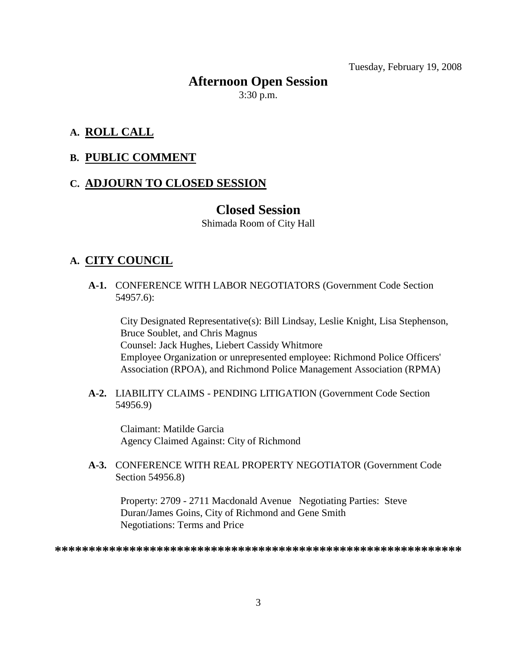Tuesday, February 19, 2008

# **Afternoon Open Session**

3:30 p.m.

#### **A. ROLL CALL**

#### **B. PUBLIC COMMENT**

#### **C. ADJOURN TO CLOSED SESSION**

#### **Closed Session**

Shimada Room of City Hall

#### **A. CITY COUNCIL**

**A-1.** CONFERENCE WITH LABOR NEGOTIATORS (Government Code Section 54957.6):

City Designated Representative(s): Bill Lindsay, Leslie Knight, Lisa Stephenson, Bruce Soublet, and Chris Magnus Counsel: Jack Hughes, Liebert Cassidy Whitmore Employee Organization or unrepresented employee: Richmond Police Officers' Association (RPOA), and Richmond Police Management Association (RPMA)

**A-2.** LIABILITY CLAIMS - PENDING LITIGATION (Government Code Section 54956.9)

Claimant: Matilde Garcia Agency Claimed Against: City of Richmond

**A-3.** CONFERENCE WITH REAL PROPERTY NEGOTIATOR (Government Code Section 54956.8)

Property: 2709 - 2711 Macdonald Avenue Negotiating Parties: Steve Duran/James Goins, City of Richmond and Gene Smith Negotiations: Terms and Price

**\*\*\*\*\*\*\*\*\*\*\*\*\*\*\*\*\*\*\*\*\*\*\*\*\*\*\*\*\*\*\*\*\*\*\*\*\*\*\*\*\*\*\*\*\*\*\*\*\*\*\*\*\*\*\*\*\*\*\*\***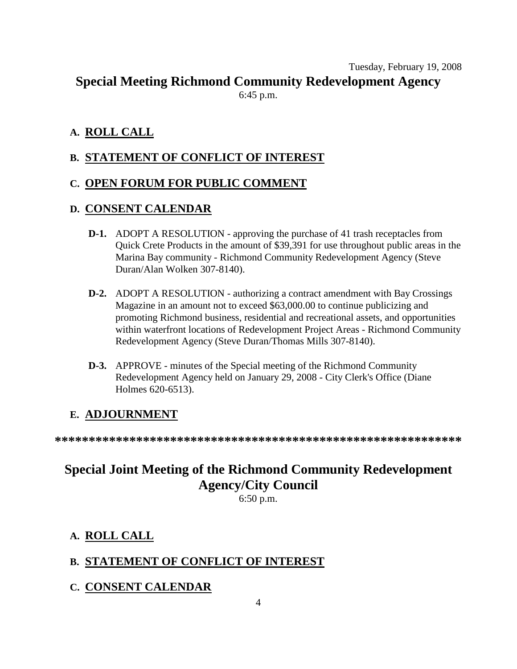Tuesday, February 19, 2008 **Special Meeting Richmond Community Redevelopment Agency**

6:45 p.m.

### **A. ROLL CALL**

## **B. STATEMENT OF CONFLICT OF INTEREST**

#### **C. OPEN FORUM FOR PUBLIC COMMENT**

#### **D. CONSENT CALENDAR**

- **D-1.** ADOPT A RESOLUTION approving the purchase of 41 trash receptacles from Quick Crete Products in the amount of \$39,391 for use throughout public areas in the Marina Bay community - Richmond Community Redevelopment Agency (Steve Duran/Alan Wolken 307-8140).
- **D-2.** ADOPT A RESOLUTION authorizing a contract amendment with Bay Crossings Magazine in an amount not to exceed \$63,000.00 to continue publicizing and promoting Richmond business, residential and recreational assets, and opportunities within waterfront locations of Redevelopment Project Areas - Richmond Community Redevelopment Agency (Steve Duran/Thomas Mills 307-8140).
- **D-3.** APPROVE minutes of the Special meeting of the Richmond Community Redevelopment Agency held on January 29, 2008 - City Clerk's Office (Diane Holmes 620-6513).

### **E. ADJOURNMENT**

**\*\*\*\*\*\*\*\*\*\*\*\*\*\*\*\*\*\*\*\*\*\*\*\*\*\*\*\*\*\*\*\*\*\*\*\*\*\*\*\*\*\*\*\*\*\*\*\*\*\*\*\*\*\*\*\*\*\*\*\***

# **Special Joint Meeting of the Richmond Community Redevelopment Agency/City Council**

6:50 p.m.

# **A. ROLL CALL**

# **B. STATEMENT OF CONFLICT OF INTEREST**

**C. CONSENT CALENDAR**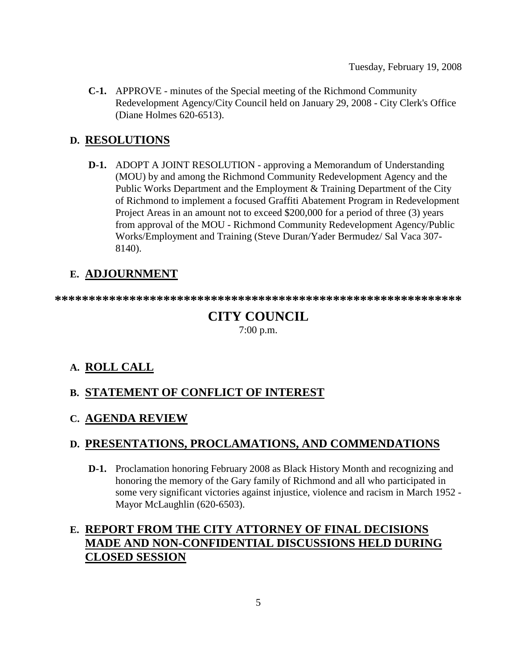Tuesday, February 19, 2008

**C-1.** APPROVE - minutes of the Special meeting of the Richmond Community Redevelopment Agency/City Council held on January 29, 2008 - City Clerk's Office (Diane Holmes 620-6513).

#### **D. RESOLUTIONS**

**D-1.** ADOPT A JOINT RESOLUTION - approving a Memorandum of Understanding (MOU) by and among the Richmond Community Redevelopment Agency and the Public Works Department and the Employment & Training Department of the City of Richmond to implement a focused Graffiti Abatement Program in Redevelopment Project Areas in an amount not to exceed \$200,000 for a period of three (3) years from approval of the MOU - Richmond Community Redevelopment Agency/Public Works/Employment and Training (Steve Duran/Yader Bermudez/ Sal Vaca 307- 8140).

# **E. ADJOURNMENT**

**\*\*\*\*\*\*\*\*\*\*\*\*\*\*\*\*\*\*\*\*\*\*\*\*\*\*\*\*\*\*\*\*\*\*\*\*\*\*\*\*\*\*\*\*\*\*\*\*\*\*\*\*\*\*\*\*\*\*\*\***

# **CITY COUNCIL**

7:00 p.m.

### **A. ROLL CALL**

#### **B. STATEMENT OF CONFLICT OF INTEREST**

#### **C. AGENDA REVIEW**

#### **D. PRESENTATIONS, PROCLAMATIONS, AND COMMENDATIONS**

**D-1.** Proclamation honoring February 2008 as Black History Month and recognizing and honoring the memory of the Gary family of Richmond and all who participated in some very significant victories against injustice, violence and racism in March 1952 - Mayor McLaughlin (620-6503).

## **E. REPORT FROM THE CITY ATTORNEY OF FINAL DECISIONS MADE AND NON-CONFIDENTIAL DISCUSSIONS HELD DURING CLOSED SESSION**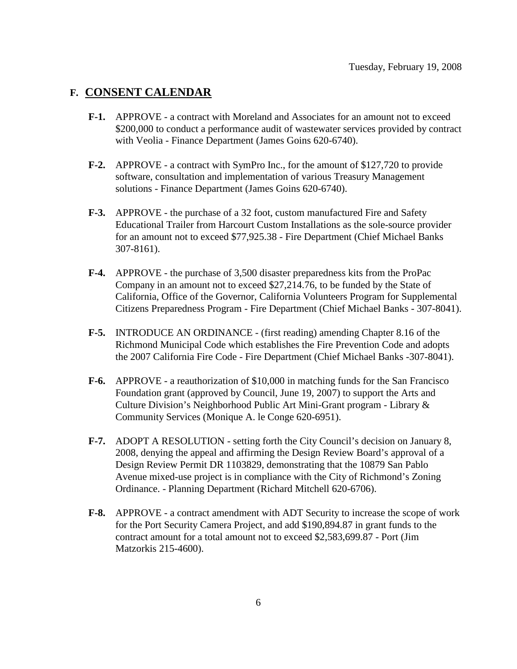#### **F. CONSENT CALENDAR**

- **F-1.** APPROVE a contract with Moreland and Associates for an amount not to exceed \$200,000 to conduct a performance audit of wastewater services provided by contract with Veolia - Finance Department (James Goins 620-6740).
- **F-2.** APPROVE a contract with SymPro Inc., for the amount of \$127,720 to provide software, consultation and implementation of various Treasury Management solutions - Finance Department (James Goins 620-6740).
- **F-3.** APPROVE the purchase of a 32 foot, custom manufactured Fire and Safety Educational Trailer from Harcourt Custom Installations as the sole-source provider for an amount not to exceed \$77,925.38 - Fire Department (Chief Michael Banks 307-8161).
- **F-4.** APPROVE the purchase of 3,500 disaster preparedness kits from the ProPac Company in an amount not to exceed \$27,214.76, to be funded by the State of California, Office of the Governor, California Volunteers Program for Supplemental Citizens Preparedness Program - Fire Department (Chief Michael Banks - 307-8041).
- **F-5.** INTRODUCE AN ORDINANCE (first reading) amending Chapter 8.16 of the Richmond Municipal Code which establishes the Fire Prevention Code and adopts the 2007 California Fire Code - Fire Department (Chief Michael Banks -307-8041).
- **F-6.** APPROVE a reauthorization of \$10,000 in matching funds for the San Francisco Foundation grant (approved by Council, June 19, 2007) to support the Arts and Culture Division's Neighborhood Public Art Mini-Grant program - Library & Community Services (Monique A. le Conge 620-6951).
- **F-7.** ADOPT A RESOLUTION setting forth the City Council's decision on January 8, 2008, denying the appeal and affirming the Design Review Board's approval of a Design Review Permit DR 1103829, demonstrating that the 10879 San Pablo Avenue mixed-use project is in compliance with the City of Richmond's Zoning Ordinance. - Planning Department (Richard Mitchell 620-6706).
- **F-8.** APPROVE a contract amendment with ADT Security to increase the scope of work for the Port Security Camera Project, and add \$190,894.87 in grant funds to the contract amount for a total amount not to exceed \$2,583,699.87 - Port (Jim Matzorkis 215-4600).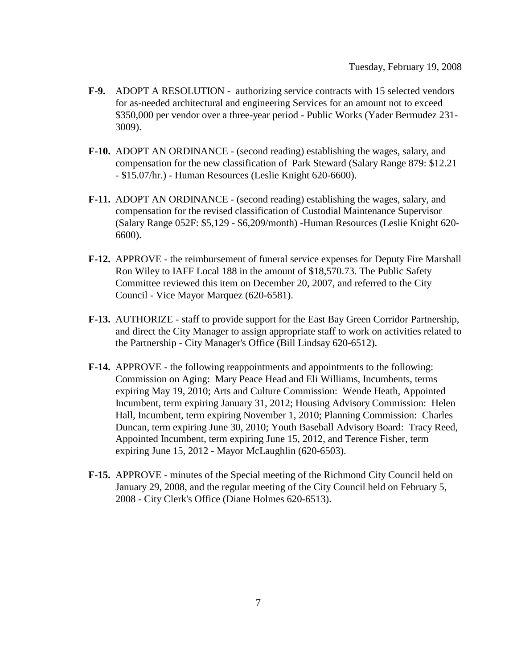- **F-9.** ADOPT A RESOLUTION authorizing service contracts with 15 selected vendors for as-needed architectural and engineering Services for an amount not to exceed \$350,000 per vendor over a three-year period - Public Works (Yader Bermudez 231- 3009).
- **F-10.** ADOPT AN ORDINANCE (second reading) establishing the wages, salary, and compensation for the new classification of Park Steward (Salary Range 879: \$12.21 - \$15.07/hr.) - Human Resources (Leslie Knight 620-6600).
- **F-11.** ADOPT AN ORDINANCE (second reading) establishing the wages, salary, and compensation for the revised classification of Custodial Maintenance Supervisor (Salary Range 052F: \$5,129 - \$6,209/month) -Human Resources (Leslie Knight 620- 6600).
- **F-12.** APPROVE the reimbursement of funeral service expenses for Deputy Fire Marshall Ron Wiley to IAFF Local 188 in the amount of \$18,570.73. The Public Safety Committee reviewed this item on December 20, 2007, and referred to the City Council - Vice Mayor Marquez (620-6581).
- **F-13.** AUTHORIZE staff to provide support for the East Bay Green Corridor Partnership, and direct the City Manager to assign appropriate staff to work on activities related to the Partnership - City Manager's Office (Bill Lindsay 620-6512).
- **F-14.** APPROVE the following reappointments and appointments to the following: Commission on Aging: Mary Peace Head and Eli Williams, Incumbents, terms expiring May 19, 2010; Arts and Culture Commission: Wende Heath, Appointed Incumbent, term expiring January 31, 2012; Housing Advisory Commission: Helen Hall, Incumbent, term expiring November 1, 2010; Planning Commission: Charles Duncan, term expiring June 30, 2010; Youth Baseball Advisory Board: Tracy Reed, Appointed Incumbent, term expiring June 15, 2012, and Terence Fisher, term expiring June 15, 2012 - Mayor McLaughlin (620-6503).
- **F-15.** APPROVE minutes of the Special meeting of the Richmond City Council held on January 29, 2008, and the regular meeting of the City Council held on February 5, 2008 - City Clerk's Office (Diane Holmes 620-6513).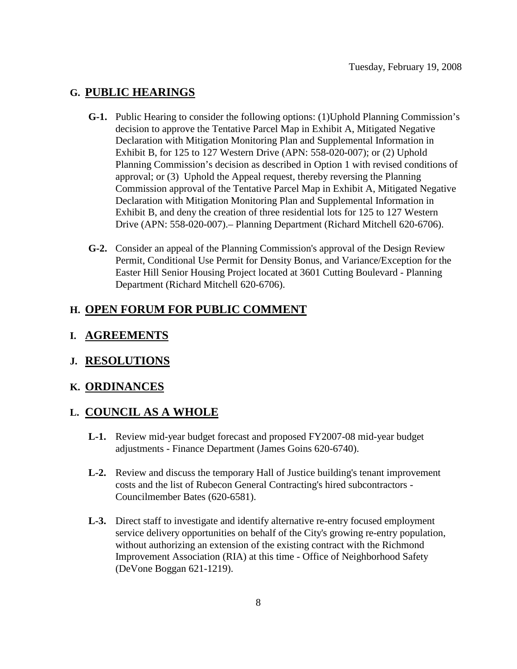#### **G. PUBLIC HEARINGS**

- **G-1.** Public Hearing to consider the following options: (1)Uphold Planning Commission's decision to approve the Tentative Parcel Map in Exhibit A, Mitigated Negative Declaration with Mitigation Monitoring Plan and Supplemental Information in Exhibit B, for 125 to 127 Western Drive (APN: 558-020-007); or (2) Uphold Planning Commission's decision as described in Option 1 with revised conditions of approval; or (3) Uphold the Appeal request, thereby reversing the Planning Commission approval of the Tentative Parcel Map in Exhibit A, Mitigated Negative Declaration with Mitigation Monitoring Plan and Supplemental Information in Exhibit B, and deny the creation of three residential lots for 125 to 127 Western Drive (APN: 558-020-007).– Planning Department (Richard Mitchell 620-6706).
- **G-2.** Consider an appeal of the Planning Commission's approval of the Design Review Permit, Conditional Use Permit for Density Bonus, and Variance/Exception for the Easter Hill Senior Housing Project located at 3601 Cutting Boulevard - Planning Department (Richard Mitchell 620-6706).

#### **H. OPEN FORUM FOR PUBLIC COMMENT**

#### **I. AGREEMENTS**

#### **J. RESOLUTIONS**

#### **K. ORDINANCES**

#### **L. COUNCIL AS A WHOLE**

- **L-1.** Review mid-year budget forecast and proposed FY2007-08 mid-year budget adjustments - Finance Department (James Goins 620-6740).
- **L-2.** Review and discuss the temporary Hall of Justice building's tenant improvement costs and the list of Rubecon General Contracting's hired subcontractors - Councilmember Bates (620-6581).
- **L-3.** Direct staff to investigate and identify alternative re-entry focused employment service delivery opportunities on behalf of the City's growing re-entry population, without authorizing an extension of the existing contract with the Richmond Improvement Association (RIA) at this time - Office of Neighborhood Safety (DeVone Boggan 621-1219).